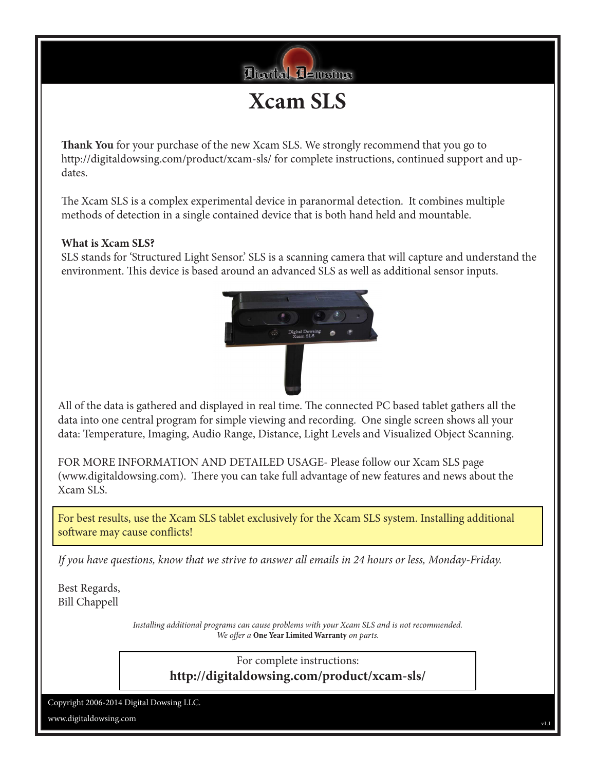

**Xcam SLS**

**Thank You** for your purchase of the new Xcam SLS. We strongly recommend that you go to http://digitaldowsing.com/product/xcam-sls/ for complete instructions, continued support and updates.

The Xcam SLS is a complex experimental device in paranormal detection. It combines multiple methods of detection in a single contained device that is both hand held and mountable.

## **What is Xcam SLS?**

SLS stands for 'Structured Light Sensor.' SLS is a scanning camera that will capture and understand the environment. This device is based around an advanced SLS as well as additional sensor inputs.



All of the data is gathered and displayed in real time. The connected PC based tablet gathers all the data into one central program for simple viewing and recording. One single screen shows all your data: Temperature, Imaging, Audio Range, Distance, Light Levels and Visualized Object Scanning.

FOR MORE INFORMATION AND DETAILED USAGE- Please follow our Xcam SLS page (www.digitaldowsing.com). There you can take full advantage of new features and news about the Xcam SLS.

For best results, use the Xcam SLS tablet exclusively for the Xcam SLS system. Installing additional software may cause conflicts!

*If you have questions, know that we strive to answer all emails in 24 hours or less, Monday-Friday.*

Best Regards, Bill Chappell

> *Installing additional programs can cause problems with your Xcam SLS and is not recommended. We offer a* **One Year Limited Warranty** *on parts.*

> > For complete instructions: **http://digitaldowsing.com/product/xcam-sls/**

Copyright 2006-2014 Digital Dowsing LLC.

www.digitaldowsing.com